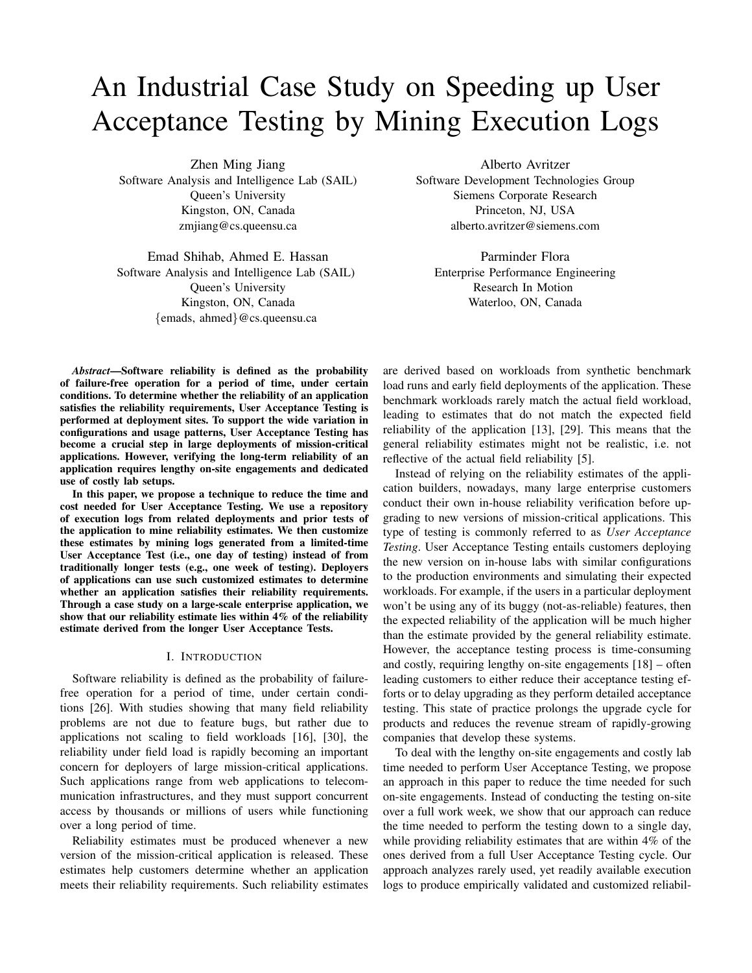# An Industrial Case Study on Speeding up User Acceptance Testing by Mining Execution Logs

Zhen Ming Jiang

Software Analysis and Intelligence Lab (SAIL) Queen's University Kingston, ON, Canada zmjiang@cs.queensu.ca

Emad Shihab, Ahmed E. Hassan Software Analysis and Intelligence Lab (SAIL) Queen's University Kingston, ON, Canada {emads, ahmed}@cs.queensu.ca

Alberto Avritzer

Software Development Technologies Group Siemens Corporate Research Princeton, NJ, USA alberto.avritzer@siemens.com

Parminder Flora Enterprise Performance Engineering Research In Motion Waterloo, ON, Canada

*Abstract*—Software reliability is defined as the probability of failure-free operation for a period of time, under certain conditions. To determine whether the reliability of an application satisfies the reliability requirements, User Acceptance Testing is performed at deployment sites. To support the wide variation in configurations and usage patterns, User Acceptance Testing has become a crucial step in large deployments of mission-critical applications. However, verifying the long-term reliability of an application requires lengthy on-site engagements and dedicated use of costly lab setups.

In this paper, we propose a technique to reduce the time and cost needed for User Acceptance Testing. We use a repository of execution logs from related deployments and prior tests of the application to mine reliability estimates. We then customize these estimates by mining logs generated from a limited-time User Acceptance Test (i.e., one day of testing) instead of from traditionally longer tests (e.g., one week of testing). Deployers of applications can use such customized estimates to determine whether an application satisfies their reliability requirements. Through a case study on a large-scale enterprise application, we show that our reliability estimate lies within  $4\%$  of the reliability estimate derived from the longer User Acceptance Tests.

# I. INTRODUCTION

Software reliability is defined as the probability of failurefree operation for a period of time, under certain conditions [26]. With studies showing that many field reliability problems are not due to feature bugs, but rather due to applications not scaling to field workloads [16], [30], the reliability under field load is rapidly becoming an important concern for deployers of large mission-critical applications. Such applications range from web applications to telecommunication infrastructures, and they must support concurrent access by thousands or millions of users while functioning over a long period of time.

Reliability estimates must be produced whenever a new version of the mission-critical application is released. These estimates help customers determine whether an application meets their reliability requirements. Such reliability estimates are derived based on workloads from synthetic benchmark load runs and early field deployments of the application. These benchmark workloads rarely match the actual field workload, leading to estimates that do not match the expected field reliability of the application [13], [29]. This means that the general reliability estimates might not be realistic, i.e. not reflective of the actual field reliability [5].

Instead of relying on the reliability estimates of the application builders, nowadays, many large enterprise customers conduct their own in-house reliability verification before upgrading to new versions of mission-critical applications. This type of testing is commonly referred to as *User Acceptance Testing*. User Acceptance Testing entails customers deploying the new version on in-house labs with similar configurations to the production environments and simulating their expected workloads. For example, if the users in a particular deployment won't be using any of its buggy (not-as-reliable) features, then the expected reliability of the application will be much higher than the estimate provided by the general reliability estimate. However, the acceptance testing process is time-consuming and costly, requiring lengthy on-site engagements [18] – often leading customers to either reduce their acceptance testing efforts or to delay upgrading as they perform detailed acceptance testing. This state of practice prolongs the upgrade cycle for products and reduces the revenue stream of rapidly-growing companies that develop these systems.

To deal with the lengthy on-site engagements and costly lab time needed to perform User Acceptance Testing, we propose an approach in this paper to reduce the time needed for such on-site engagements. Instead of conducting the testing on-site over a full work week, we show that our approach can reduce the time needed to perform the testing down to a single day, while providing reliability estimates that are within 4% of the ones derived from a full User Acceptance Testing cycle. Our approach analyzes rarely used, yet readily available execution logs to produce empirically validated and customized reliabil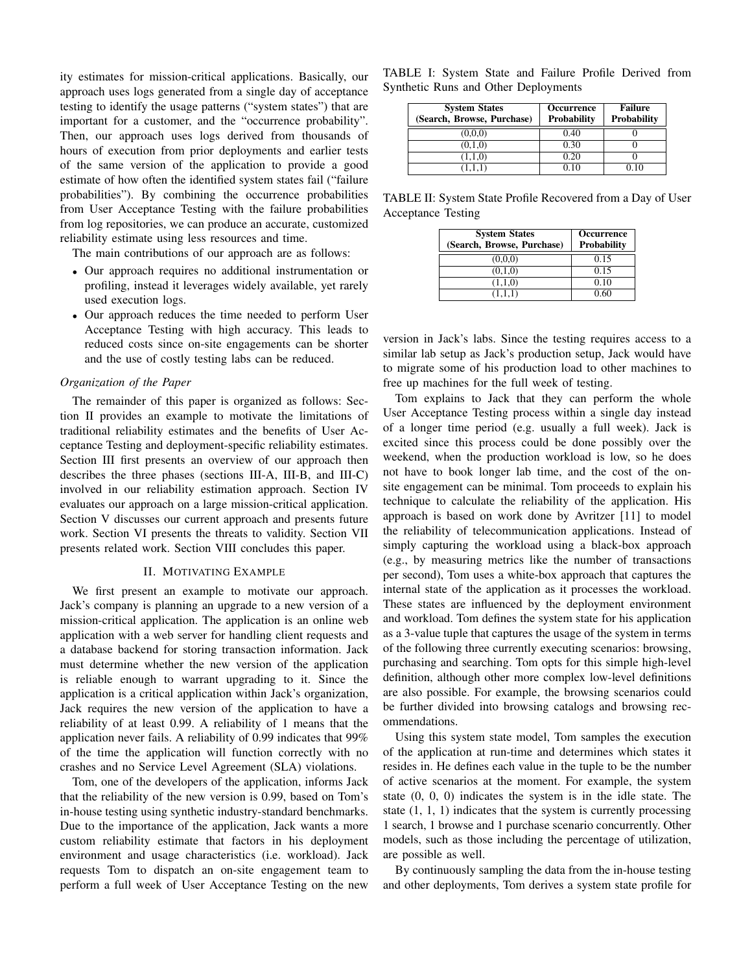ity estimates for mission-critical applications. Basically, our approach uses logs generated from a single day of acceptance testing to identify the usage patterns ("system states") that are important for a customer, and the "occurrence probability". Then, our approach uses logs derived from thousands of hours of execution from prior deployments and earlier tests of the same version of the application to provide a good estimate of how often the identified system states fail ("failure probabilities"). By combining the occurrence probabilities from User Acceptance Testing with the failure probabilities from log repositories, we can produce an accurate, customized reliability estimate using less resources and time.

The main contributions of our approach are as follows:

- Our approach requires no additional instrumentation or profiling, instead it leverages widely available, yet rarely used execution logs.
- Our approach reduces the time needed to perform User Acceptance Testing with high accuracy. This leads to reduced costs since on-site engagements can be shorter and the use of costly testing labs can be reduced.

## *Organization of the Paper*

The remainder of this paper is organized as follows: Section II provides an example to motivate the limitations of traditional reliability estimates and the benefits of User Acceptance Testing and deployment-specific reliability estimates. Section III first presents an overview of our approach then describes the three phases (sections III-A, III-B, and III-C) involved in our reliability estimation approach. Section IV evaluates our approach on a large mission-critical application. Section V discusses our current approach and presents future work. Section VI presents the threats to validity. Section VII presents related work. Section VIII concludes this paper.

#### II. MOTIVATING EXAMPLE

We first present an example to motivate our approach. Jack's company is planning an upgrade to a new version of a mission-critical application. The application is an online web application with a web server for handling client requests and a database backend for storing transaction information. Jack must determine whether the new version of the application is reliable enough to warrant upgrading to it. Since the application is a critical application within Jack's organization, Jack requires the new version of the application to have a reliability of at least 0.99. A reliability of 1 means that the application never fails. A reliability of 0.99 indicates that 99% of the time the application will function correctly with no crashes and no Service Level Agreement (SLA) violations.

Tom, one of the developers of the application, informs Jack that the reliability of the new version is 0.99, based on Tom's in-house testing using synthetic industry-standard benchmarks. Due to the importance of the application, Jack wants a more custom reliability estimate that factors in his deployment environment and usage characteristics (i.e. workload). Jack requests Tom to dispatch an on-site engagement team to perform a full week of User Acceptance Testing on the new TABLE I: System State and Failure Profile Derived from Synthetic Runs and Other Deployments

| <b>System States</b><br>(Search, Browse, Purchase) | <b>Occurrence</b><br><b>Probability</b> | <b>Failure</b><br>Probability |
|----------------------------------------------------|-----------------------------------------|-------------------------------|
| (0.0, 0)                                           | 0.40                                    |                               |
| (0,1,0)                                            | 0.30                                    |                               |
| (1,1,0)                                            | 0.20                                    |                               |
| (1.1.1)                                            | በ 1በ                                    | ን 1በ                          |

TABLE II: System State Profile Recovered from a Day of User Acceptance Testing

| <b>System States</b>       | <b>Occurrence</b> |
|----------------------------|-------------------|
| (Search, Browse, Purchase) | Probability       |
| (0,0,0)                    | 0.15              |
| (0,1,0)                    | 0.15              |
| (1,1,0)                    | 0.10              |
| (1,1,1)                    | 0.60              |

version in Jack's labs. Since the testing requires access to a similar lab setup as Jack's production setup, Jack would have to migrate some of his production load to other machines to free up machines for the full week of testing.

Tom explains to Jack that they can perform the whole User Acceptance Testing process within a single day instead of a longer time period (e.g. usually a full week). Jack is excited since this process could be done possibly over the weekend, when the production workload is low, so he does not have to book longer lab time, and the cost of the onsite engagement can be minimal. Tom proceeds to explain his technique to calculate the reliability of the application. His approach is based on work done by Avritzer [11] to model the reliability of telecommunication applications. Instead of simply capturing the workload using a black-box approach (e.g., by measuring metrics like the number of transactions per second), Tom uses a white-box approach that captures the internal state of the application as it processes the workload. These states are influenced by the deployment environment and workload. Tom defines the system state for his application as a 3-value tuple that captures the usage of the system in terms of the following three currently executing scenarios: browsing, purchasing and searching. Tom opts for this simple high-level definition, although other more complex low-level definitions are also possible. For example, the browsing scenarios could be further divided into browsing catalogs and browsing recommendations.

Using this system state model, Tom samples the execution of the application at run-time and determines which states it resides in. He defines each value in the tuple to be the number of active scenarios at the moment. For example, the system state (0, 0, 0) indicates the system is in the idle state. The state (1, 1, 1) indicates that the system is currently processing 1 search, 1 browse and 1 purchase scenario concurrently. Other models, such as those including the percentage of utilization, are possible as well.

By continuously sampling the data from the in-house testing and other deployments, Tom derives a system state profile for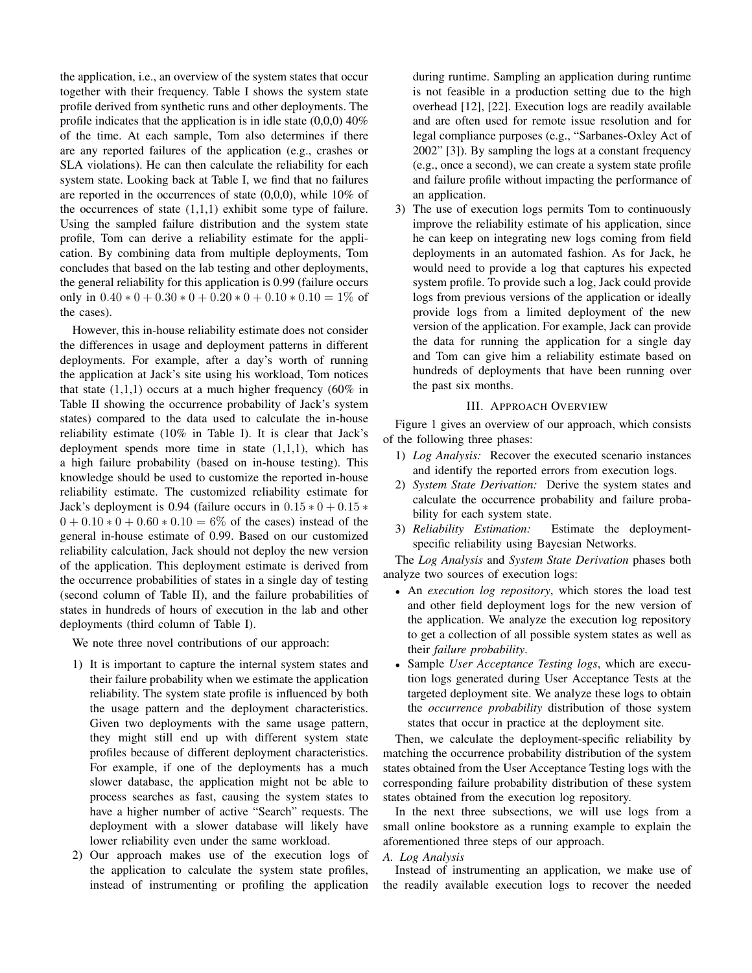the application, i.e., an overview of the system states that occur together with their frequency. Table I shows the system state profile derived from synthetic runs and other deployments. The profile indicates that the application is in idle state  $(0,0,0)$  40% of the time. At each sample, Tom also determines if there are any reported failures of the application (e.g., crashes or SLA violations). He can then calculate the reliability for each system state. Looking back at Table I, we find that no failures are reported in the occurrences of state  $(0,0,0)$ , while 10% of the occurrences of state  $(1,1,1)$  exhibit some type of failure. Using the sampled failure distribution and the system state profile, Tom can derive a reliability estimate for the application. By combining data from multiple deployments, Tom concludes that based on the lab testing and other deployments, the general reliability for this application is 0.99 (failure occurs only in  $0.40 * 0 + 0.30 * 0 + 0.20 * 0 + 0.10 * 0.10 = 1\%$  of the cases).

However, this in-house reliability estimate does not consider the differences in usage and deployment patterns in different deployments. For example, after a day's worth of running the application at Jack's site using his workload, Tom notices that state  $(1,1,1)$  occurs at a much higher frequency  $(60\%$  in Table II showing the occurrence probability of Jack's system states) compared to the data used to calculate the in-house reliability estimate (10% in Table I). It is clear that Jack's deployment spends more time in state  $(1,1,1)$ , which has a high failure probability (based on in-house testing). This knowledge should be used to customize the reported in-house reliability estimate. The customized reliability estimate for Jack's deployment is 0.94 (failure occurs in  $0.15 * 0 + 0.15 *$  $0 + 0.10 * 0 + 0.60 * 0.10 = 6\%$  of the cases) instead of the general in-house estimate of 0.99. Based on our customized reliability calculation, Jack should not deploy the new version of the application. This deployment estimate is derived from the occurrence probabilities of states in a single day of testing (second column of Table II), and the failure probabilities of states in hundreds of hours of execution in the lab and other deployments (third column of Table I).

We note three novel contributions of our approach:

- 1) It is important to capture the internal system states and their failure probability when we estimate the application reliability. The system state profile is influenced by both the usage pattern and the deployment characteristics. Given two deployments with the same usage pattern, they might still end up with different system state profiles because of different deployment characteristics. For example, if one of the deployments has a much slower database, the application might not be able to process searches as fast, causing the system states to have a higher number of active "Search" requests. The deployment with a slower database will likely have lower reliability even under the same workload.
- 2) Our approach makes use of the execution logs of the application to calculate the system state profiles, instead of instrumenting or profiling the application

during runtime. Sampling an application during runtime is not feasible in a production setting due to the high overhead [12], [22]. Execution logs are readily available and are often used for remote issue resolution and for legal compliance purposes (e.g., "Sarbanes-Oxley Act of 2002" [3]). By sampling the logs at a constant frequency (e.g., once a second), we can create a system state profile and failure profile without impacting the performance of an application.

3) The use of execution logs permits Tom to continuously improve the reliability estimate of his application, since he can keep on integrating new logs coming from field deployments in an automated fashion. As for Jack, he would need to provide a log that captures his expected system profile. To provide such a log, Jack could provide logs from previous versions of the application or ideally provide logs from a limited deployment of the new version of the application. For example, Jack can provide the data for running the application for a single day and Tom can give him a reliability estimate based on hundreds of deployments that have been running over the past six months.

# III. APPROACH OVERVIEW

Figure 1 gives an overview of our approach, which consists of the following three phases:

- 1) *Log Analysis:* Recover the executed scenario instances and identify the reported errors from execution logs.
- 2) *System State Derivation:* Derive the system states and calculate the occurrence probability and failure probability for each system state.
- 3) *Reliability Estimation:* Estimate the deploymentspecific reliability using Bayesian Networks.

The *Log Analysis* and *System State Derivation* phases both analyze two sources of execution logs:

- An *execution log repository*, which stores the load test and other field deployment logs for the new version of the application. We analyze the execution log repository to get a collection of all possible system states as well as their *failure probability*.
- Sample *User Acceptance Testing logs*, which are execution logs generated during User Acceptance Tests at the targeted deployment site. We analyze these logs to obtain the *occurrence probability* distribution of those system states that occur in practice at the deployment site.

Then, we calculate the deployment-specific reliability by matching the occurrence probability distribution of the system states obtained from the User Acceptance Testing logs with the corresponding failure probability distribution of these system states obtained from the execution log repository.

In the next three subsections, we will use logs from a small online bookstore as a running example to explain the aforementioned three steps of our approach.

# *A. Log Analysis*

Instead of instrumenting an application, we make use of the readily available execution logs to recover the needed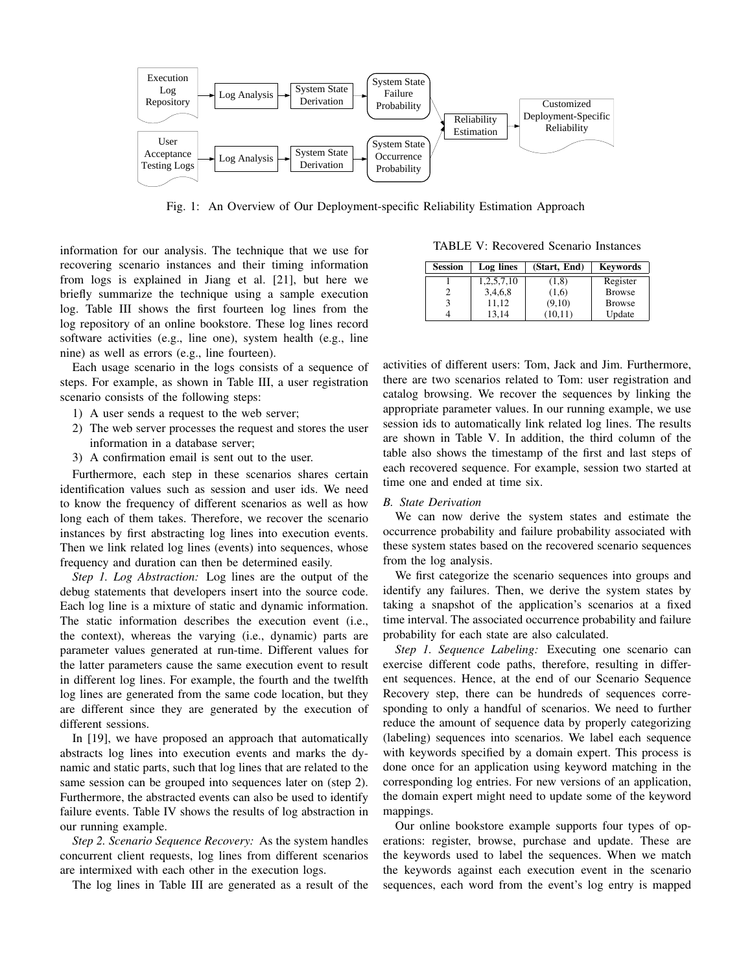

Fig. 1: An Overview of Our Deployment-specific Reliability Estimation Approach

information for our analysis. The technique that we use for recovering scenario instances and their timing information from logs is explained in Jiang et al. [21], but here we briefly summarize the technique using a sample execution log. Table III shows the first fourteen log lines from the log repository of an online bookstore. These log lines record software activities (e.g., line one), system health (e.g., line nine) as well as errors (e.g., line fourteen).

Each usage scenario in the logs consists of a sequence of steps. For example, as shown in Table III, a user registration scenario consists of the following steps:

- 1) A user sends a request to the web server;
- 2) The web server processes the request and stores the user information in a database server;
- 3) A confirmation email is sent out to the user.

Furthermore, each step in these scenarios shares certain identification values such as session and user ids. We need to know the frequency of different scenarios as well as how long each of them takes. Therefore, we recover the scenario instances by first abstracting log lines into execution events. Then we link related log lines (events) into sequences, whose frequency and duration can then be determined easily.

*Step 1. Log Abstraction:* Log lines are the output of the debug statements that developers insert into the source code. Each log line is a mixture of static and dynamic information. The static information describes the execution event (i.e., the context), whereas the varying (i.e., dynamic) parts are parameter values generated at run-time. Different values for the latter parameters cause the same execution event to result in different log lines. For example, the fourth and the twelfth log lines are generated from the same code location, but they are different since they are generated by the execution of different sessions.

In [19], we have proposed an approach that automatically abstracts log lines into execution events and marks the dynamic and static parts, such that log lines that are related to the same session can be grouped into sequences later on (step 2). Furthermore, the abstracted events can also be used to identify failure events. Table IV shows the results of log abstraction in our running example.

*Step 2. Scenario Sequence Recovery:* As the system handles concurrent client requests, log lines from different scenarios are intermixed with each other in the execution logs.

The log lines in Table III are generated as a result of the

TABLE V: Recovered Scenario Instances

| <b>Session</b> | Log lines  | (Start, End) | <b>Keywords</b> |
|----------------|------------|--------------|-----------------|
|                | 1,2,5,7,10 | (1,8)        | Register        |
|                | 3,4,6,8    | (1,6)        | <b>Browse</b>   |
|                | 11.12      | (9,10)       | <b>Browse</b>   |
|                | 13.14      | (10.11)      | Update          |

activities of different users: Tom, Jack and Jim. Furthermore, there are two scenarios related to Tom: user registration and catalog browsing. We recover the sequences by linking the appropriate parameter values. In our running example, we use session ids to automatically link related log lines. The results are shown in Table V. In addition, the third column of the table also shows the timestamp of the first and last steps of each recovered sequence. For example, session two started at time one and ended at time six.

## *B. State Derivation*

We can now derive the system states and estimate the occurrence probability and failure probability associated with these system states based on the recovered scenario sequences from the log analysis.

We first categorize the scenario sequences into groups and identify any failures. Then, we derive the system states by taking a snapshot of the application's scenarios at a fixed time interval. The associated occurrence probability and failure probability for each state are also calculated.

*Step 1. Sequence Labeling:* Executing one scenario can exercise different code paths, therefore, resulting in different sequences. Hence, at the end of our Scenario Sequence Recovery step, there can be hundreds of sequences corresponding to only a handful of scenarios. We need to further reduce the amount of sequence data by properly categorizing (labeling) sequences into scenarios. We label each sequence with keywords specified by a domain expert. This process is done once for an application using keyword matching in the corresponding log entries. For new versions of an application, the domain expert might need to update some of the keyword mappings.

Our online bookstore example supports four types of operations: register, browse, purchase and update. These are the keywords used to label the sequences. When we match the keywords against each execution event in the scenario sequences, each word from the event's log entry is mapped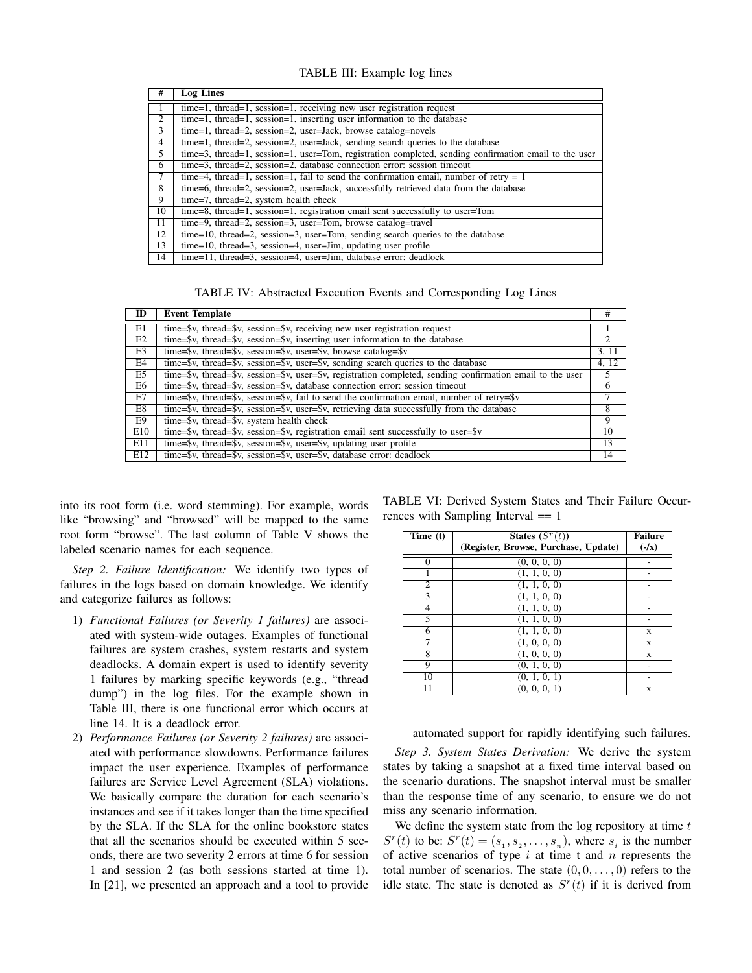TABLE III: Example log lines

| #  | Log Lines                                                                                             |
|----|-------------------------------------------------------------------------------------------------------|
|    | time=1, thread=1, session=1, receiving new user registration request                                  |
| 2  | time=1, thread=1, session=1, inserting user information to the database                               |
| 3  | time=1, thread=2, session=2, user=Jack, browse catalog=novels                                         |
| 4  | time=1, thread=2, session=2, user=Jack, sending search queries to the database                        |
| 5  | time=3, thread=1, session=1, user=Tom, registration completed, sending confirmation email to the user |
| 6  | time=3, thread=2, session=2, database connection error: session timeout                               |
| 7  | time=4, thread=1, session=1, fail to send the confirmation email, number of retry = 1                 |
| 8  | time=6, thread=2, session=2, user=Jack, successfully retrieved data from the database                 |
| 9  | time=7, thread=2, system health check                                                                 |
| 10 | time=8, thread=1, session=1, registration email sent successfully to user=Tom                         |
| 11 | time=9, thread=2, session=3, user=Tom, browse catalog=travel                                          |
| 12 | time=10, thread=2, session=3, user=Tom, sending search queries to the database                        |
| 13 | time=10, thread=3, session=4, user=Jim, updating user profile                                         |
| 14 | time=11, thread=3, session=4, user=Jim, database error: deadlock                                      |

TABLE IV: Abstracted Execution Events and Corresponding Log Lines

| ID  | <b>Event Template</b>                                                                                       |              |
|-----|-------------------------------------------------------------------------------------------------------------|--------------|
| E1  | time=\$v, thread=\$v, session=\$v, receiving new user registration request                                  |              |
| E2  | time=\$v, thread=\$v, session=\$v, inserting user information to the database                               | 2            |
| E3  | $time = $v$ , thread= $$v$ , session= $$v$ , user= $$v$ , browse catalog= $$v$                              | 3, 11        |
| E4  | time=\$v, thread=\$v, session=\$v, user=\$v, sending search queries to the database                         | 4, 12        |
| E5  | time=\$v, thread=\$v, session=\$v, user=\$v, registration completed, sending confirmation email to the user |              |
| E6  | time=\$v, thread=\$v, session=\$v, database connection error: session timeout                               | <sub>0</sub> |
| E7  | time=\$v, thread=\$v, session=\$v, fail to send the confirmation email, number of retry=\$v                 |              |
| E8  | time=\$v, thread=\$v, session=\$v, user=\$v, retrieving data successfully from the database                 | 8            |
| E9  | time=\$v, thread=\$v, system health check                                                                   | 9            |
| E10 | time=\$v, thread=\$v, session=\$v, registration email sent successfully to user=\$v                         | 10           |
| E11 | time=\$v, thread=\$v, session=\$v, user=\$v, updating user profile                                          | 13           |
| E12 | time=\$v, thread=\$v, session=\$v, user=\$v, database error: deadlock                                       | 14           |

into its root form (i.e. word stemming). For example, words like "browsing" and "browsed" will be mapped to the same root form "browse". The last column of Table V shows the labeled scenario names for each sequence.

*Step 2. Failure Identification:* We identify two types of failures in the logs based on domain knowledge. We identify and categorize failures as follows:

- 1) *Functional Failures (or Severity 1 failures)* are associated with system-wide outages. Examples of functional failures are system crashes, system restarts and system deadlocks. A domain expert is used to identify severity 1 failures by marking specific keywords (e.g., "thread dump") in the log files. For the example shown in Table III, there is one functional error which occurs at line 14. It is a deadlock error.
- 2) *Performance Failures (or Severity 2 failures)* are associated with performance slowdowns. Performance failures impact the user experience. Examples of performance failures are Service Level Agreement (SLA) violations. We basically compare the duration for each scenario's instances and see if it takes longer than the time specified by the SLA. If the SLA for the online bookstore states that all the scenarios should be executed within 5 seconds, there are two severity 2 errors at time 6 for session 1 and session 2 (as both sessions started at time 1). In [21], we presented an approach and a tool to provide

| TABLE VI: Derived System States and Their Failure Occur- |  |  |  |  |
|----------------------------------------------------------|--|--|--|--|
| rences with Sampling Interval $== 1$                     |  |  |  |  |

| Time(t) | States $(S^r(t))$                    | <b>Failure</b> |
|---------|--------------------------------------|----------------|
|         | (Register, Browse, Purchase, Update) | $(-/x)$        |
| 0       | (0, 0, 0, 0)                         |                |
|         | (1, 1, 0, 0)                         |                |
| 2       | (1, 1, 0, 0)                         |                |
| 3       | (1, 1, 0, 0)                         |                |
| 4       | (1, 1, 0, 0)                         |                |
| 5       | (1, 1, 0, 0)                         |                |
| 6       | (1, 1, 0, 0)                         | X              |
|         | (1, 0, 0, 0)                         | X              |
| 8       | (1, 0, 0, 0)                         | X              |
| 9       | (0, 1, 0, 0)                         |                |
| 10      | (0, 1, 0, 1)                         |                |
| 11      | (0, 0, 0, 1)                         | X              |

## automated support for rapidly identifying such failures.

*Step 3. System States Derivation:* We derive the system states by taking a snapshot at a fixed time interval based on the scenario durations. The snapshot interval must be smaller than the response time of any scenario, to ensure we do not miss any scenario information.

We define the system state from the log repository at time  $t$  $S<sup>r</sup>(t)$  to be:  $S<sup>r</sup>(t) = (s<sub>1</sub>, s<sub>2</sub>,..., s<sub>n</sub>)$ , where  $s<sub>i</sub>$  is the number of active scenarios of type  $i$  at time t and  $n$  represents the total number of scenarios. The state  $(0, 0, \ldots, 0)$  refers to the idle state. The state is denoted as  $S<sup>r</sup>(t)$  if it is derived from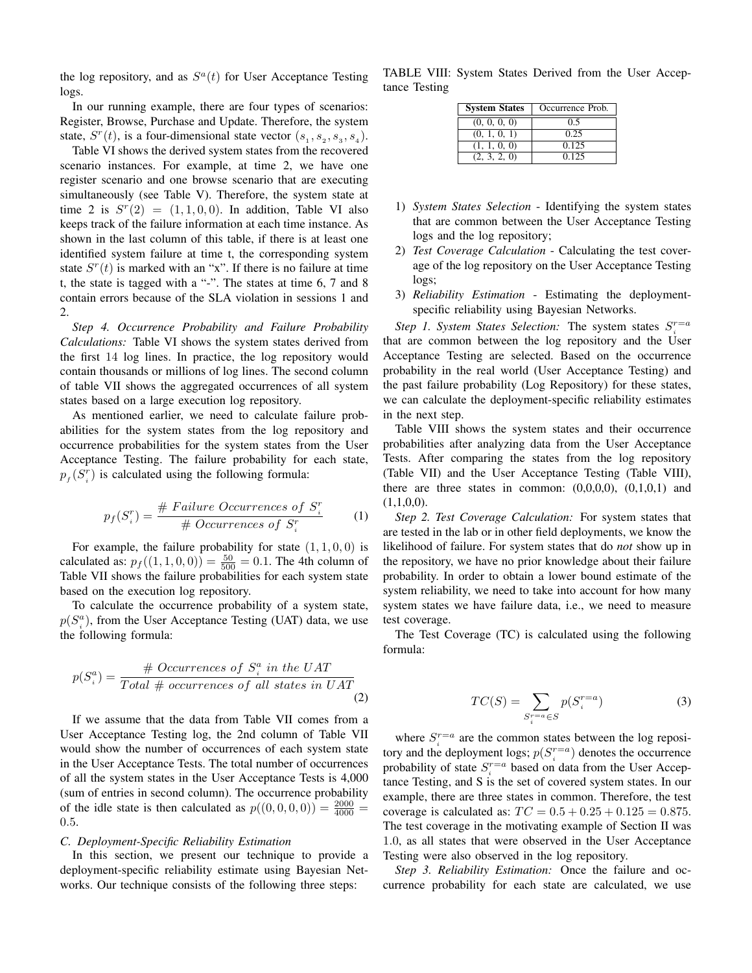the log repository, and as  $S^a(t)$  for User Acceptance Testing logs.

In our running example, there are four types of scenarios: Register, Browse, Purchase and Update. Therefore, the system state,  $S<sup>r</sup>(t)$ , is a four-dimensional state vector  $(s_1, s_2, s_3, s_4)$ .

Table VI shows the derived system states from the recovered scenario instances. For example, at time 2, we have one register scenario and one browse scenario that are executing simultaneously (see Table V). Therefore, the system state at time 2 is  $S<sup>r</sup>(2) = (1, 1, 0, 0)$ . In addition, Table VI also keeps track of the failure information at each time instance. As shown in the last column of this table, if there is at least one identified system failure at time t, the corresponding system state  $S<sup>r</sup>(t)$  is marked with an "x". If there is no failure at time t, the state is tagged with a "-". The states at time 6, 7 and 8 contain errors because of the SLA violation in sessions 1 and 2.

*Step 4. Occurrence Probability and Failure Probability Calculations:* Table VI shows the system states derived from the first 14 log lines. In practice, the log repository would contain thousands or millions of log lines. The second column of table VII shows the aggregated occurrences of all system states based on a large execution log repository.

As mentioned earlier, we need to calculate failure probabilities for the system states from the log repository and occurrence probabilities for the system states from the User Acceptance Testing. The failure probability for each state,  $p_f(S_i^r)$  is calculated using the following formula:

$$
p_f(S_i^r) = \frac{\# \; Failure \; Occurrences \; of \; S_i^r}{\# \; Occurrences \; of \; S_i^r}
$$
 (1)

For example, the failure probability for state  $(1, 1, 0, 0)$  is calculated as:  $p_f((1, 1, 0, 0)) = \frac{50}{500} = 0.1$ . The 4th column of Table VII shows the failure probabilities for each system state based on the execution log repository.

To calculate the occurrence probability of a system state,  $p(S_i^a)$ , from the User Acceptance Testing (UAT) data, we use the following formula:

$$
p(S_i^a) = \frac{\# \text{ Occurrences of } S_i^a \text{ in the } UAT}{Total \# \text{ occurrences of all states in } UAT}
$$
\n(2)

If we assume that the data from Table VII comes from a User Acceptance Testing log, the 2nd column of Table VII would show the number of occurrences of each system state in the User Acceptance Tests. The total number of occurrences of all the system states in the User Acceptance Tests is 4,000 (sum of entries in second column). The occurrence probability of the idle state is then calculated as  $p((0,0,0,0)) = \frac{2000}{4000} =$ 0.5.

### *C. Deployment-Specific Reliability Estimation*

In this section, we present our technique to provide a deployment-specific reliability estimate using Bayesian Networks. Our technique consists of the following three steps:

TABLE VIII: System States Derived from the User Acceptance Testing

| <b>System States</b> | Occurrence Prob. |
|----------------------|------------------|
| (0, 0, 0, 0)         | 0.5              |
| (0, 1, 0, 1)         | 0.25             |
| (1, 1, 0, 0)         | 0.125            |
| (2, 3, 2, 0)         | 0.125            |

- 1) *System States Selection* Identifying the system states that are common between the User Acceptance Testing logs and the log repository;
- 2) *Test Coverage Calculation* Calculating the test coverage of the log repository on the User Acceptance Testing logs;
- 3) *Reliability Estimation* Estimating the deploymentspecific reliability using Bayesian Networks.

*Step 1. System States Selection:* The system states  $S_i^{r=a}$ that are common between the log repository and the User Acceptance Testing are selected. Based on the occurrence probability in the real world (User Acceptance Testing) and the past failure probability (Log Repository) for these states, we can calculate the deployment-specific reliability estimates in the next step.

Table VIII shows the system states and their occurrence probabilities after analyzing data from the User Acceptance Tests. After comparing the states from the log repository (Table VII) and the User Acceptance Testing (Table VIII), there are three states in common:  $(0,0,0,0)$ ,  $(0,1,0,1)$  and  $(1,1,0,0)$ .

*Step 2. Test Coverage Calculation:* For system states that are tested in the lab or in other field deployments, we know the likelihood of failure. For system states that do *not* show up in the repository, we have no prior knowledge about their failure probability. In order to obtain a lower bound estimate of the system reliability, we need to take into account for how many system states we have failure data, i.e., we need to measure test coverage.

The Test Coverage (TC) is calculated using the following formula:

$$
TC(S) = \sum_{S_i^{r=a} \in S} p(S_i^{r=a})
$$
\n(3)

where  $S_i^{r=a}$  are the common states between the log repository and the deployment logs;  $p(S_i^{r=a})$  denotes the occurrence probability of state  $S_i^{r=a}$  based on data from the User Acceptance Testing, and S is the set of covered system states. In our example, there are three states in common. Therefore, the test coverage is calculated as:  $TC = 0.5 + 0.25 + 0.125 = 0.875$ . The test coverage in the motivating example of Section II was 1.0, as all states that were observed in the User Acceptance Testing were also observed in the log repository.

*Step 3. Reliability Estimation:* Once the failure and occurrence probability for each state are calculated, we use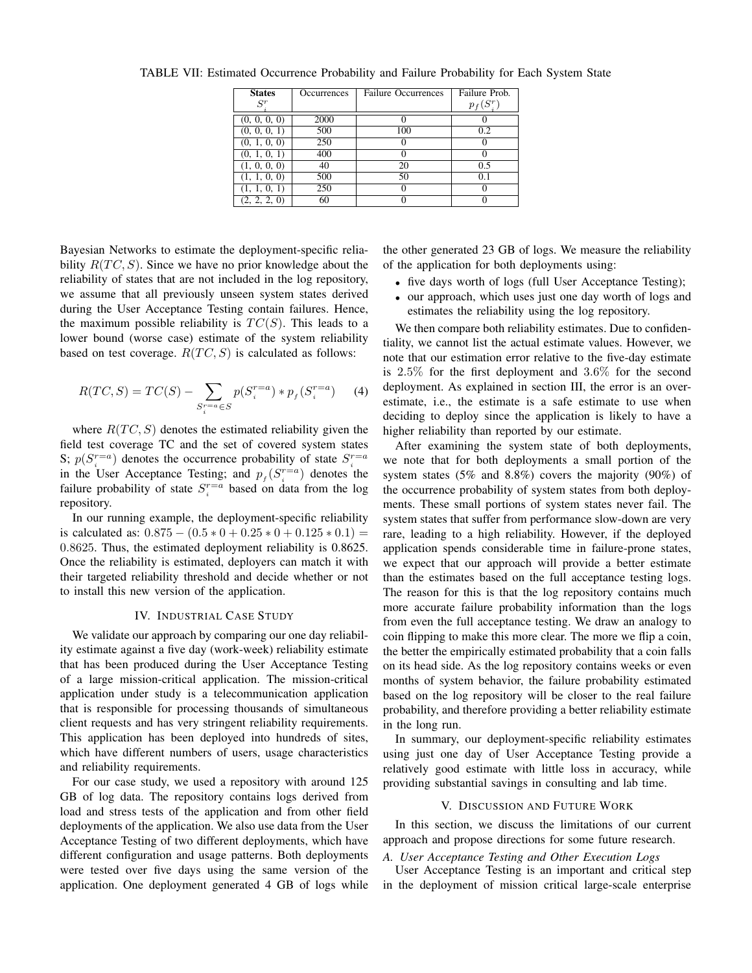| <b>States</b> | <b>Occurrences</b> | <b>Failure Occurrences</b> | Failure Prob. |
|---------------|--------------------|----------------------------|---------------|
| $S^r$         |                    |                            | $p_f(S_i^r)$  |
| (0, 0, 0, 0)  | 2000               |                            |               |
| (0, 0, 0, 1)  | 500                | 100                        | 0.2           |
| (0, 1, 0, 0)  | 250                |                            |               |
| (0, 1, 0, 1)  | 400                |                            |               |
| (1, 0, 0, 0)  | 40                 | 20                         | 0.5           |
| (1, 1, 0, 0)  | 500                | 50                         | 0.1           |
| (1, 1, 0, 1)  | 250                |                            |               |
| (2, 2, 2, 0)  | 60                 |                            |               |

TABLE VII: Estimated Occurrence Probability and Failure Probability for Each System State

Bayesian Networks to estimate the deployment-specific reliability  $R(TC, S)$ . Since we have no prior knowledge about the reliability of states that are not included in the log repository, we assume that all previously unseen system states derived during the User Acceptance Testing contain failures. Hence, the maximum possible reliability is  $TC(S)$ . This leads to a lower bound (worse case) estimate of the system reliability based on test coverage.  $R(T C, S)$  is calculated as follows:

$$
R(TC, S) = TC(S) - \sum_{S_i^{r=a} \in S} p(S_i^{r=a}) * p_f(S_i^{r=a}) \tag{4}
$$

where  $R(TC, S)$  denotes the estimated reliability given the field test coverage TC and the set of covered system states S;  $p(S_i^{r=a})$  denotes the occurrence probability of state  $S_i^{r=a}$ in the User Acceptance Testing; and  $p_f(S_i^{r=a})$  denotes the failure probability of state  $S_i^{r=a}$  based on data from the log repository.

In our running example, the deployment-specific reliability is calculated as:  $0.875 - (0.5 * 0 + 0.25 * 0 + 0.125 * 0.1) =$ 0.8625. Thus, the estimated deployment reliability is 0.8625. Once the reliability is estimated, deployers can match it with their targeted reliability threshold and decide whether or not to install this new version of the application.

## IV. INDUSTRIAL CASE STUDY

We validate our approach by comparing our one day reliability estimate against a five day (work-week) reliability estimate that has been produced during the User Acceptance Testing of a large mission-critical application. The mission-critical application under study is a telecommunication application that is responsible for processing thousands of simultaneous client requests and has very stringent reliability requirements. This application has been deployed into hundreds of sites, which have different numbers of users, usage characteristics and reliability requirements.

For our case study, we used a repository with around 125 GB of log data. The repository contains logs derived from load and stress tests of the application and from other field deployments of the application. We also use data from the User Acceptance Testing of two different deployments, which have different configuration and usage patterns. Both deployments were tested over five days using the same version of the application. One deployment generated 4 GB of logs while the other generated 23 GB of logs. We measure the reliability of the application for both deployments using:

- five days worth of logs (full User Acceptance Testing);
- our approach, which uses just one day worth of logs and estimates the reliability using the log repository.

We then compare both reliability estimates. Due to confidentiality, we cannot list the actual estimate values. However, we note that our estimation error relative to the five-day estimate is 2.5% for the first deployment and 3.6% for the second deployment. As explained in section III, the error is an overestimate, i.e., the estimate is a safe estimate to use when deciding to deploy since the application is likely to have a higher reliability than reported by our estimate.

After examining the system state of both deployments, we note that for both deployments a small portion of the system states (5% and 8.8%) covers the majority (90%) of the occurrence probability of system states from both deployments. These small portions of system states never fail. The system states that suffer from performance slow-down are very rare, leading to a high reliability. However, if the deployed application spends considerable time in failure-prone states, we expect that our approach will provide a better estimate than the estimates based on the full acceptance testing logs. The reason for this is that the log repository contains much more accurate failure probability information than the logs from even the full acceptance testing. We draw an analogy to coin flipping to make this more clear. The more we flip a coin, the better the empirically estimated probability that a coin falls on its head side. As the log repository contains weeks or even months of system behavior, the failure probability estimated based on the log repository will be closer to the real failure probability, and therefore providing a better reliability estimate in the long run.

In summary, our deployment-specific reliability estimates using just one day of User Acceptance Testing provide a relatively good estimate with little loss in accuracy, while providing substantial savings in consulting and lab time.

# V. DISCUSSION AND FUTURE WORK

In this section, we discuss the limitations of our current approach and propose directions for some future research.

# *A. User Acceptance Testing and Other Execution Logs*

User Acceptance Testing is an important and critical step in the deployment of mission critical large-scale enterprise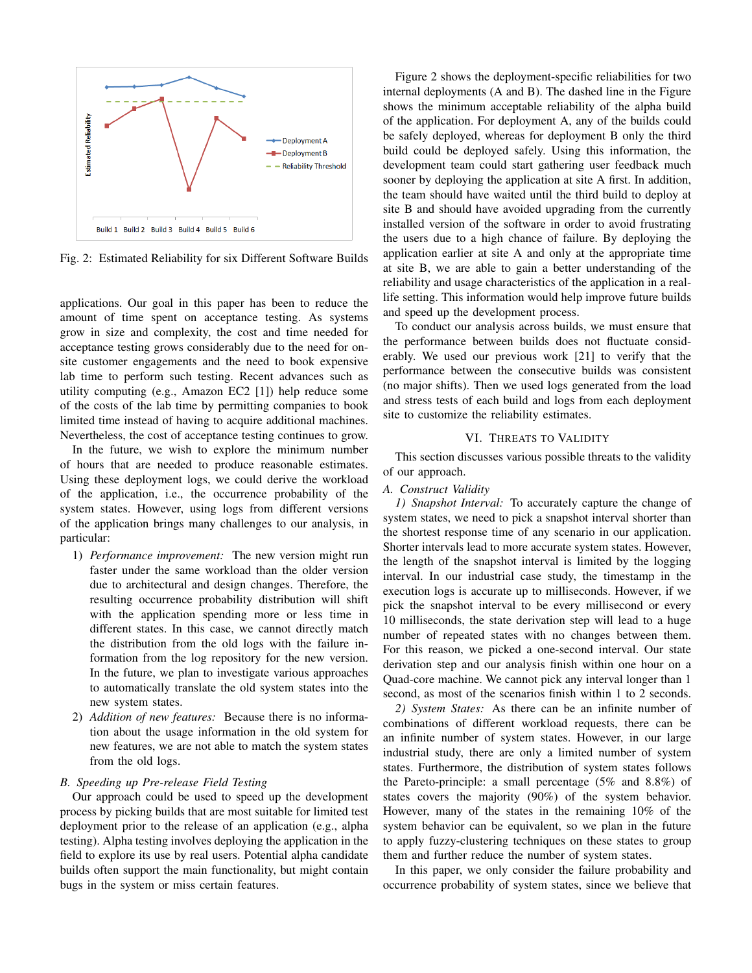

Fig. 2: Estimated Reliability for six Different Software Builds

applications. Our goal in this paper has been to reduce the amount of time spent on acceptance testing. As systems grow in size and complexity, the cost and time needed for acceptance testing grows considerably due to the need for onsite customer engagements and the need to book expensive lab time to perform such testing. Recent advances such as utility computing (e.g., Amazon EC2 [1]) help reduce some of the costs of the lab time by permitting companies to book limited time instead of having to acquire additional machines. Nevertheless, the cost of acceptance testing continues to grow.

In the future, we wish to explore the minimum number of hours that are needed to produce reasonable estimates. Using these deployment logs, we could derive the workload of the application, i.e., the occurrence probability of the system states. However, using logs from different versions of the application brings many challenges to our analysis, in particular:

- 1) *Performance improvement:* The new version might run faster under the same workload than the older version due to architectural and design changes. Therefore, the resulting occurrence probability distribution will shift with the application spending more or less time in different states. In this case, we cannot directly match the distribution from the old logs with the failure information from the log repository for the new version. In the future, we plan to investigate various approaches to automatically translate the old system states into the new system states.
- 2) *Addition of new features:* Because there is no information about the usage information in the old system for new features, we are not able to match the system states from the old logs.

# *B. Speeding up Pre-release Field Testing*

Our approach could be used to speed up the development process by picking builds that are most suitable for limited test deployment prior to the release of an application (e.g., alpha testing). Alpha testing involves deploying the application in the field to explore its use by real users. Potential alpha candidate builds often support the main functionality, but might contain bugs in the system or miss certain features.

Figure 2 shows the deployment-specific reliabilities for two internal deployments (A and B). The dashed line in the Figure shows the minimum acceptable reliability of the alpha build of the application. For deployment A, any of the builds could be safely deployed, whereas for deployment B only the third build could be deployed safely. Using this information, the development team could start gathering user feedback much sooner by deploying the application at site A first. In addition, the team should have waited until the third build to deploy at site B and should have avoided upgrading from the currently installed version of the software in order to avoid frustrating the users due to a high chance of failure. By deploying the application earlier at site A and only at the appropriate time at site B, we are able to gain a better understanding of the reliability and usage characteristics of the application in a reallife setting. This information would help improve future builds and speed up the development process.

To conduct our analysis across builds, we must ensure that the performance between builds does not fluctuate considerably. We used our previous work [21] to verify that the performance between the consecutive builds was consistent (no major shifts). Then we used logs generated from the load and stress tests of each build and logs from each deployment site to customize the reliability estimates.

## VI. THREATS TO VALIDITY

This section discusses various possible threats to the validity of our approach.

# *A. Construct Validity*

*1) Snapshot Interval:* To accurately capture the change of system states, we need to pick a snapshot interval shorter than the shortest response time of any scenario in our application. Shorter intervals lead to more accurate system states. However, the length of the snapshot interval is limited by the logging interval. In our industrial case study, the timestamp in the execution logs is accurate up to milliseconds. However, if we pick the snapshot interval to be every millisecond or every 10 milliseconds, the state derivation step will lead to a huge number of repeated states with no changes between them. For this reason, we picked a one-second interval. Our state derivation step and our analysis finish within one hour on a Quad-core machine. We cannot pick any interval longer than 1 second, as most of the scenarios finish within 1 to 2 seconds.

*2) System States:* As there can be an infinite number of combinations of different workload requests, there can be an infinite number of system states. However, in our large industrial study, there are only a limited number of system states. Furthermore, the distribution of system states follows the Pareto-principle: a small percentage (5% and 8.8%) of states covers the majority (90%) of the system behavior. However, many of the states in the remaining 10% of the system behavior can be equivalent, so we plan in the future to apply fuzzy-clustering techniques on these states to group them and further reduce the number of system states.

In this paper, we only consider the failure probability and occurrence probability of system states, since we believe that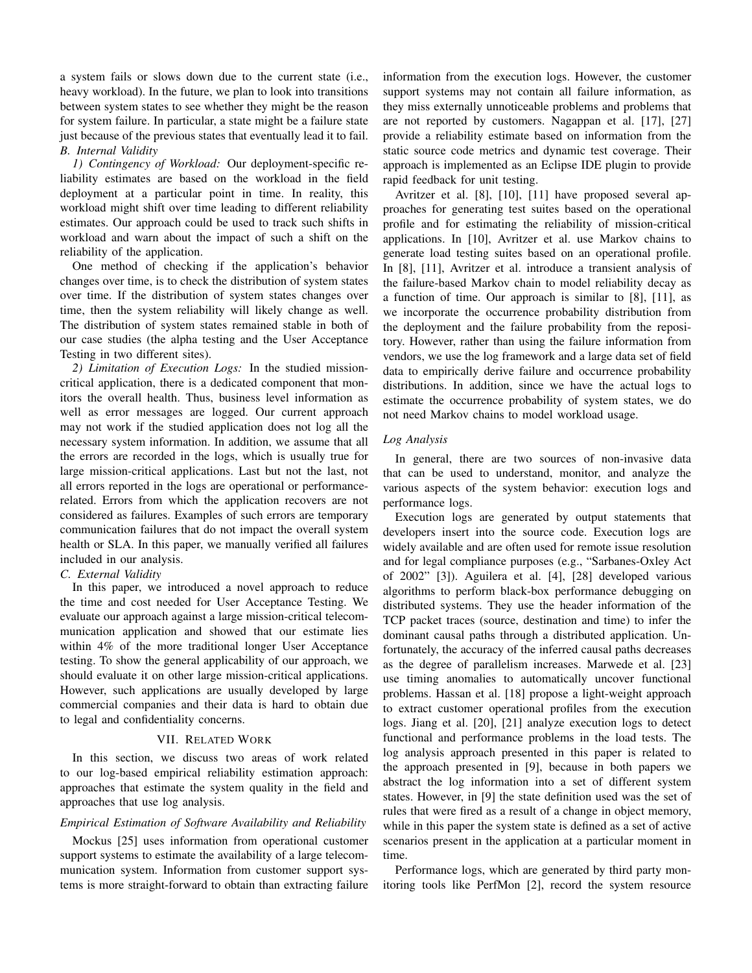a system fails or slows down due to the current state (i.e., heavy workload). In the future, we plan to look into transitions between system states to see whether they might be the reason for system failure. In particular, a state might be a failure state just because of the previous states that eventually lead it to fail. *B. Internal Validity*

*1) Contingency of Workload:* Our deployment-specific reliability estimates are based on the workload in the field deployment at a particular point in time. In reality, this workload might shift over time leading to different reliability estimates. Our approach could be used to track such shifts in workload and warn about the impact of such a shift on the reliability of the application.

One method of checking if the application's behavior changes over time, is to check the distribution of system states over time. If the distribution of system states changes over time, then the system reliability will likely change as well. The distribution of system states remained stable in both of our case studies (the alpha testing and the User Acceptance Testing in two different sites).

*2) Limitation of Execution Logs:* In the studied missioncritical application, there is a dedicated component that monitors the overall health. Thus, business level information as well as error messages are logged. Our current approach may not work if the studied application does not log all the necessary system information. In addition, we assume that all the errors are recorded in the logs, which is usually true for large mission-critical applications. Last but not the last, not all errors reported in the logs are operational or performancerelated. Errors from which the application recovers are not considered as failures. Examples of such errors are temporary communication failures that do not impact the overall system health or SLA. In this paper, we manually verified all failures included in our analysis.

## *C. External Validity*

In this paper, we introduced a novel approach to reduce the time and cost needed for User Acceptance Testing. We evaluate our approach against a large mission-critical telecommunication application and showed that our estimate lies within 4% of the more traditional longer User Acceptance testing. To show the general applicability of our approach, we should evaluate it on other large mission-critical applications. However, such applications are usually developed by large commercial companies and their data is hard to obtain due to legal and confidentiality concerns.

## VII. RELATED WORK

In this section, we discuss two areas of work related to our log-based empirical reliability estimation approach: approaches that estimate the system quality in the field and approaches that use log analysis.

# *Empirical Estimation of Software Availability and Reliability*

Mockus [25] uses information from operational customer support systems to estimate the availability of a large telecommunication system. Information from customer support systems is more straight-forward to obtain than extracting failure information from the execution logs. However, the customer support systems may not contain all failure information, as they miss externally unnoticeable problems and problems that are not reported by customers. Nagappan et al. [17], [27] provide a reliability estimate based on information from the static source code metrics and dynamic test coverage. Their approach is implemented as an Eclipse IDE plugin to provide rapid feedback for unit testing.

Avritzer et al. [8], [10], [11] have proposed several approaches for generating test suites based on the operational profile and for estimating the reliability of mission-critical applications. In [10], Avritzer et al. use Markov chains to generate load testing suites based on an operational profile. In [8], [11], Avritzer et al. introduce a transient analysis of the failure-based Markov chain to model reliability decay as a function of time. Our approach is similar to [8], [11], as we incorporate the occurrence probability distribution from the deployment and the failure probability from the repository. However, rather than using the failure information from vendors, we use the log framework and a large data set of field data to empirically derive failure and occurrence probability distributions. In addition, since we have the actual logs to estimate the occurrence probability of system states, we do not need Markov chains to model workload usage.

# *Log Analysis*

In general, there are two sources of non-invasive data that can be used to understand, monitor, and analyze the various aspects of the system behavior: execution logs and performance logs.

Execution logs are generated by output statements that developers insert into the source code. Execution logs are widely available and are often used for remote issue resolution and for legal compliance purposes (e.g., "Sarbanes-Oxley Act of 2002" [3]). Aguilera et al. [4], [28] developed various algorithms to perform black-box performance debugging on distributed systems. They use the header information of the TCP packet traces (source, destination and time) to infer the dominant causal paths through a distributed application. Unfortunately, the accuracy of the inferred causal paths decreases as the degree of parallelism increases. Marwede et al. [23] use timing anomalies to automatically uncover functional problems. Hassan et al. [18] propose a light-weight approach to extract customer operational profiles from the execution logs. Jiang et al. [20], [21] analyze execution logs to detect functional and performance problems in the load tests. The log analysis approach presented in this paper is related to the approach presented in [9], because in both papers we abstract the log information into a set of different system states. However, in [9] the state definition used was the set of rules that were fired as a result of a change in object memory, while in this paper the system state is defined as a set of active scenarios present in the application at a particular moment in time.

Performance logs, which are generated by third party monitoring tools like PerfMon [2], record the system resource